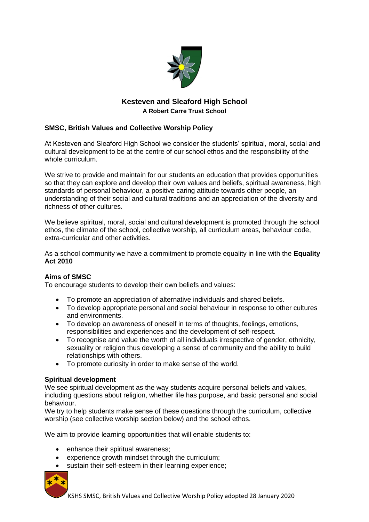

# **Kesteven and Sleaford High School A Robert Carre Trust School**

# **SMSC, British Values and Collective Worship Policy**

At Kesteven and Sleaford High School we consider the students' spiritual, moral, social and cultural development to be at the centre of our school ethos and the responsibility of the whole curriculum.

We strive to provide and maintain for our students an education that provides opportunities so that they can explore and develop their own values and beliefs, spiritual awareness, high standards of personal behaviour, a positive caring attitude towards other people, an understanding of their social and cultural traditions and an appreciation of the diversity and richness of other cultures.

We believe spiritual, moral, social and cultural development is promoted through the school ethos, the climate of the school, collective worship, all curriculum areas, behaviour code, extra-curricular and other activities.

As a school community we have a commitment to promote equality in line with the **Equality Act 2010** 

# **Aims of SMSC**

To encourage students to develop their own beliefs and values:

- To promote an appreciation of alternative individuals and shared beliefs.
- To develop appropriate personal and social behaviour in response to other cultures and environments.
- To develop an awareness of oneself in terms of thoughts, feelings, emotions, responsibilities and experiences and the development of self-respect.
- To recognise and value the worth of all individuals irrespective of gender, ethnicity, sexuality or religion thus developing a sense of community and the ability to build relationships with others.
- To promote curiosity in order to make sense of the world.

#### **Spiritual development**

We see spiritual development as the way students acquire personal beliefs and values, including questions about religion, whether life has purpose, and basic personal and social behaviour.

We try to help students make sense of these questions through the curriculum, collective worship (see collective worship section below) and the school ethos.

We aim to provide learning opportunities that will enable students to:

- enhance their spiritual awareness;
- experience growth mindset through the curriculum;
- sustain their self-esteem in their learning experience;

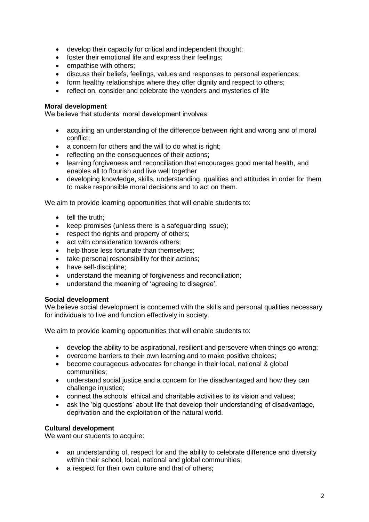- develop their capacity for critical and independent thought;
- foster their emotional life and express their feelings;
- empathise with others:
- discuss their beliefs, feelings, values and responses to personal experiences;
- form healthy relationships where they offer dignity and respect to others:
- reflect on, consider and celebrate the wonders and mysteries of life

### **Moral development**

We believe that students' moral development involves:

- acquiring an understanding of the difference between right and wrong and of moral conflict;
- a concern for others and the will to do what is right:
- reflecting on the consequences of their actions;
- learning forgiveness and reconciliation that encourages good mental health, and enables all to flourish and live well together
- developing knowledge, skills, understanding, qualities and attitudes in order for them to make responsible moral decisions and to act on them.

We aim to provide learning opportunities that will enable students to:

- tell the truth:
- keep promises (unless there is a safeguarding issue);
- respect the rights and property of others;
- act with consideration towards others:
- help those less fortunate than themselves:
- take personal responsibility for their actions;
- have self-discipline;
- understand the meaning of forgiveness and reconciliation;
- understand the meaning of 'agreeing to disagree'.

#### **Social development**

We believe social development is concerned with the skills and personal qualities necessary for individuals to live and function effectively in society.

We aim to provide learning opportunities that will enable students to:

- develop the ability to be aspirational, resilient and persevere when things go wrong;
- overcome barriers to their own learning and to make positive choices;
- become courageous advocates for change in their local, national & global communities;
- understand social justice and a concern for the disadvantaged and how they can challenge injustice;
- connect the schools' ethical and charitable activities to its vision and values;
- ask the 'big questions' about life that develop their understanding of disadvantage, deprivation and the exploitation of the natural world.

#### **Cultural development**

We want our students to acquire:

- an understanding of, respect for and the ability to celebrate difference and diversity within their school, local, national and global communities;
- a respect for their own culture and that of others;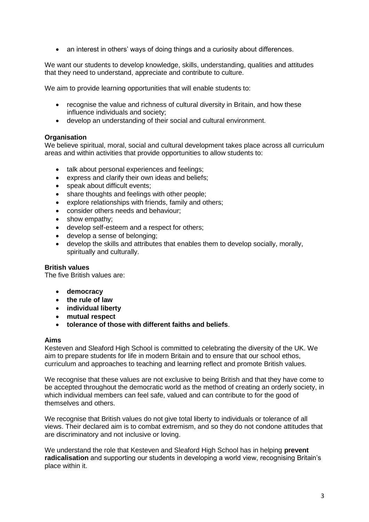• an interest in others' ways of doing things and a curiosity about differences.

We want our students to develop knowledge, skills, understanding, qualities and attitudes that they need to understand, appreciate and contribute to culture.

We aim to provide learning opportunities that will enable students to:

- recognise the value and richness of cultural diversity in Britain, and how these influence individuals and society;
- develop an understanding of their social and cultural environment.

#### **Organisation**

We believe spiritual, moral, social and cultural development takes place across all curriculum areas and within activities that provide opportunities to allow students to:

- talk about personal experiences and feelings;
- express and clarify their own ideas and beliefs;
- speak about difficult events;
- share thoughts and feelings with other people;
- explore relationships with friends, family and others;
- consider others needs and behaviour;
- show empathy;
- develop self-esteem and a respect for others;
- develop a sense of belonging;
- develop the skills and attributes that enables them to develop socially, morally, spiritually and culturally.

#### **British values**

The five British values are:

- **democracy**
- **the rule of law**
- **individual liberty**
- **mutual respect**
- **tolerance of those with different faiths and beliefs**.

#### **Aims**

Kesteven and Sleaford High School is committed to celebrating the diversity of the UK. We aim to prepare students for life in modern Britain and to ensure that our school ethos, curriculum and approaches to teaching and learning reflect and promote British values.

We recognise that these values are not exclusive to being British and that they have come to be accepted throughout the democratic world as the method of creating an orderly society, in which individual members can feel safe, valued and can contribute to for the good of themselves and others.

We recognise that British values do not give total liberty to individuals or tolerance of all views. Their declared aim is to combat extremism, and so they do not condone attitudes that are discriminatory and not inclusive or loving.

We understand the role that Kesteven and Sleaford High School has in helping **prevent radicalisation** and supporting our students in developing a world view, recognising Britain's place within it.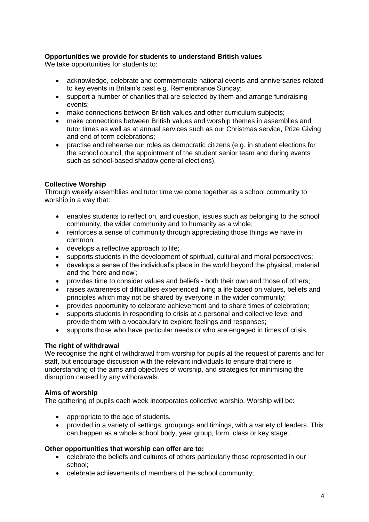# **Opportunities we provide for students to understand British values**

We take opportunities for students to:

- acknowledge, celebrate and commemorate national events and anniversaries related to key events in Britain's past e.g. Remembrance Sunday;
- support a number of charities that are selected by them and arrange fundraising events;
- make connections between British values and other curriculum subjects:
- make connections between British values and worship themes in assemblies and tutor times as well as at annual services such as our Christmas service, Prize Giving and end of term celebrations;
- practise and rehearse our roles as democratic citizens (e.g. in student elections for the school council, the appointment of the student senior team and during events such as school-based shadow general elections).

### **Collective Worship**

Through weekly assemblies and tutor time we come together as a school community to worship in a way that:

- enables students to reflect on, and question, issues such as belonging to the school community, the wider community and to humanity as a whole;
- reinforces a sense of community through appreciating those things we have in common;
- develops a reflective approach to life;
- supports students in the development of spiritual, cultural and moral perspectives;
- develops a sense of the individual's place in the world beyond the physical, material and the 'here and now';
- provides time to consider values and beliefs both their own and those of others;
- raises awareness of difficulties experienced living a life based on values, beliefs and principles which may not be shared by everyone in the wider community;
- provides opportunity to celebrate achievement and to share times of celebration;
- supports students in responding to crisis at a personal and collective level and provide them with a vocabulary to explore feelings and responses;
- supports those who have particular needs or who are engaged in times of crisis.

#### **The right of withdrawal**

We recognise the right of withdrawal from worship for pupils at the request of parents and for staff, but encourage discussion with the relevant individuals to ensure that there is understanding of the aims and objectives of worship, and strategies for minimising the disruption caused by any withdrawals.

#### **Aims of worship**

The gathering of pupils each week incorporates collective worship. Worship will be:

- appropriate to the age of students.
- provided in a variety of settings, groupings and timings, with a variety of leaders. This can happen as a whole school body, year group, form, class or key stage.

#### **Other opportunities that worship can offer are to:**

- celebrate the beliefs and cultures of others particularly those represented in our school;
- celebrate achievements of members of the school community;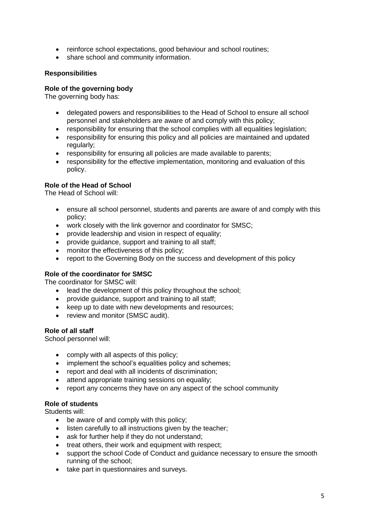- reinforce school expectations, good behaviour and school routines;
- share school and community information.

### **Responsibilities**

#### **Role of the governing body**

The governing body has:

- delegated powers and responsibilities to the Head of School to ensure all school personnel and stakeholders are aware of and comply with this policy;
- responsibility for ensuring that the school complies with all equalities legislation;
- responsibility for ensuring this policy and all policies are maintained and updated regularly:
- responsibility for ensuring all policies are made available to parents;
- responsibility for the effective implementation, monitoring and evaluation of this policy.

#### **Role of the Head of School**

The Head of School will:

- ensure all school personnel, students and parents are aware of and comply with this policy;
- work closely with the link governor and coordinator for SMSC;
- provide leadership and vision in respect of equality;
- provide guidance, support and training to all staff;
- monitor the effectiveness of this policy:
- report to the Governing Body on the success and development of this policy

#### **Role of the coordinator for SMSC**

The coordinator for SMSC will:

- lead the development of this policy throughout the school;
- provide guidance, support and training to all staff;
- keep up to date with new developments and resources;
- review and monitor (SMSC audit).

#### **Role of all staff**

School personnel will:

- comply with all aspects of this policy;
- implement the school's equalities policy and schemes:
- report and deal with all incidents of discrimination;
- attend appropriate training sessions on equality;
- report any concerns they have on any aspect of the school community

#### **Role of students**

Students will:

- be aware of and comply with this policy;
- listen carefully to all instructions given by the teacher;
- ask for further help if they do not understand;
- treat others, their work and equipment with respect:
- support the school Code of Conduct and guidance necessary to ensure the smooth running of the school;
- take part in questionnaires and surveys.